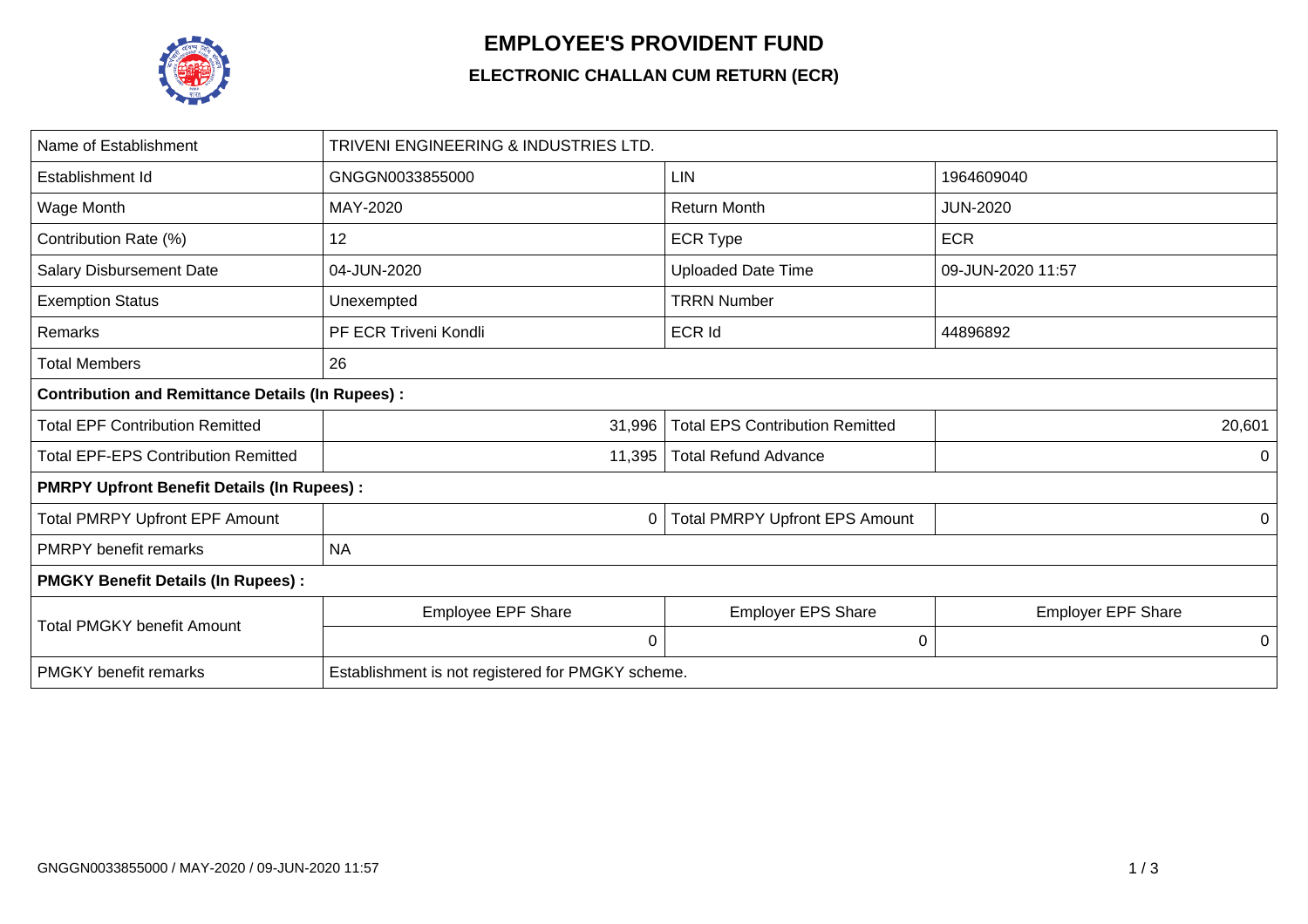

## **EMPLOYEE'S PROVIDENT FUND**

## **ELECTRONIC CHALLAN CUM RETURN (ECR)**

| Name of Establishment                                   | TRIVENI ENGINEERING & INDUSTRIES LTD.             |                                        |                           |  |  |  |  |  |  |  |
|---------------------------------------------------------|---------------------------------------------------|----------------------------------------|---------------------------|--|--|--|--|--|--|--|
| Establishment Id                                        | GNGGN0033855000                                   | <b>LIN</b>                             | 1964609040                |  |  |  |  |  |  |  |
| Wage Month                                              | MAY-2020                                          | <b>Return Month</b>                    | <b>JUN-2020</b>           |  |  |  |  |  |  |  |
| Contribution Rate (%)                                   | 12                                                | <b>ECR Type</b>                        | <b>ECR</b>                |  |  |  |  |  |  |  |
| <b>Salary Disbursement Date</b>                         | 04-JUN-2020                                       | <b>Uploaded Date Time</b>              | 09-JUN-2020 11:57         |  |  |  |  |  |  |  |
| <b>Exemption Status</b>                                 | Unexempted                                        | <b>TRRN Number</b>                     |                           |  |  |  |  |  |  |  |
| Remarks                                                 | PF ECR Triveni Kondli                             | <b>ECR Id</b>                          | 44896892                  |  |  |  |  |  |  |  |
| <b>Total Members</b>                                    | 26                                                |                                        |                           |  |  |  |  |  |  |  |
| <b>Contribution and Remittance Details (In Rupees):</b> |                                                   |                                        |                           |  |  |  |  |  |  |  |
| <b>Total EPF Contribution Remitted</b>                  | 31,996                                            | <b>Total EPS Contribution Remitted</b> | 20,601                    |  |  |  |  |  |  |  |
| <b>Total EPF-EPS Contribution Remitted</b>              | 11,395                                            | <b>Total Refund Advance</b>            |                           |  |  |  |  |  |  |  |
| <b>PMRPY Upfront Benefit Details (In Rupees):</b>       |                                                   |                                        |                           |  |  |  |  |  |  |  |
| <b>Total PMRPY Upfront EPF Amount</b>                   | 0                                                 | Total PMRPY Upfront EPS Amount         | 0                         |  |  |  |  |  |  |  |
| <b>PMRPY</b> benefit remarks                            | <b>NA</b>                                         |                                        |                           |  |  |  |  |  |  |  |
| <b>PMGKY Benefit Details (In Rupees):</b>               |                                                   |                                        |                           |  |  |  |  |  |  |  |
| <b>Total PMGKY benefit Amount</b>                       | <b>Employee EPF Share</b>                         | <b>Employer EPS Share</b>              | <b>Employer EPF Share</b> |  |  |  |  |  |  |  |
|                                                         | 0                                                 | 0                                      | 0                         |  |  |  |  |  |  |  |
| <b>PMGKY</b> benefit remarks                            | Establishment is not registered for PMGKY scheme. |                                        |                           |  |  |  |  |  |  |  |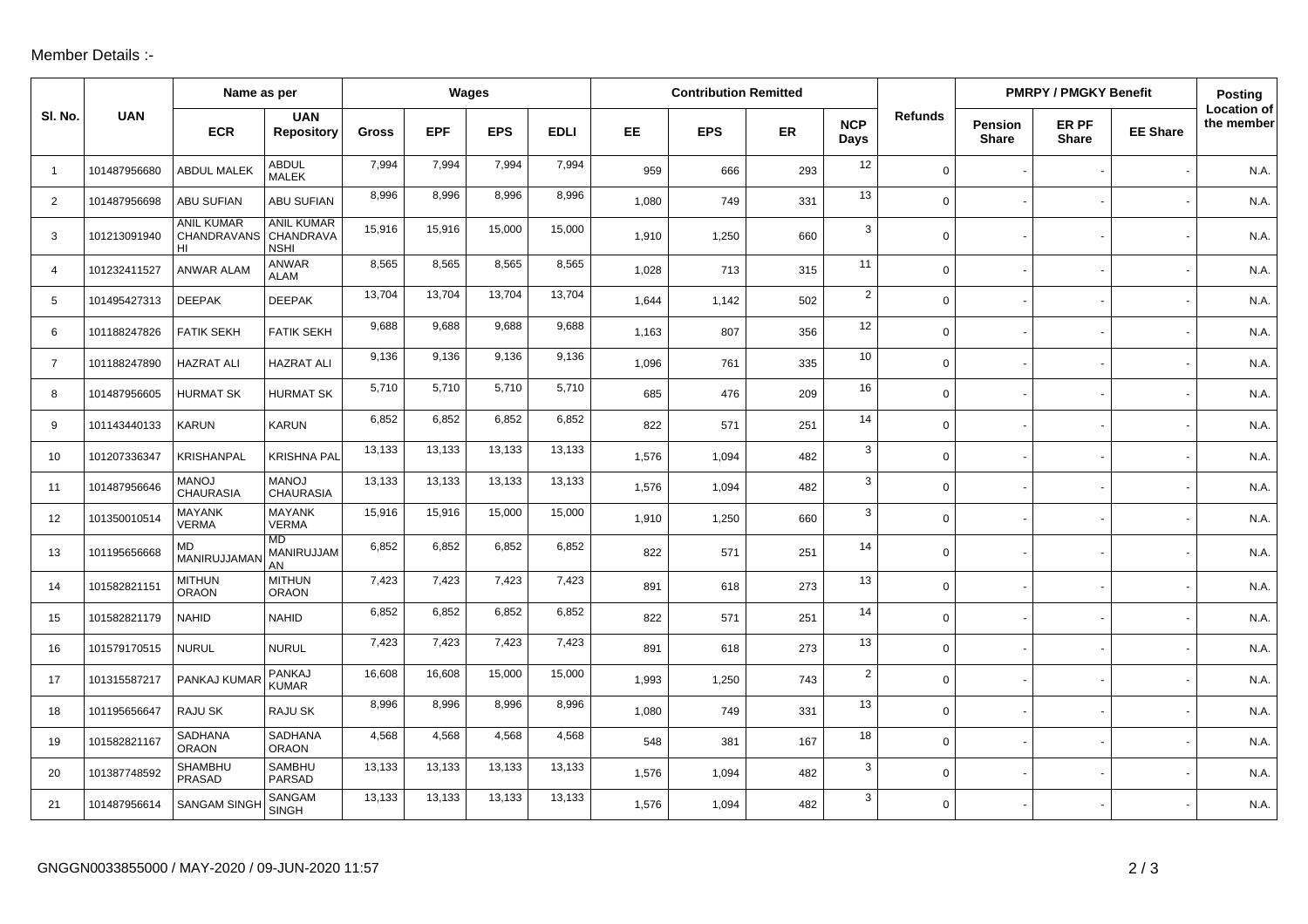## Member Details :-

|                | Name as per  |                                        |                                               | Wages  |            |            |             | <b>Contribution Remitted</b> |            |     |                    |                | <b>PMRPY / PMGKY Benefit</b>   |                       |                 | <b>Posting</b>                   |
|----------------|--------------|----------------------------------------|-----------------------------------------------|--------|------------|------------|-------------|------------------------------|------------|-----|--------------------|----------------|--------------------------------|-----------------------|-----------------|----------------------------------|
| SI. No.        | <b>UAN</b>   | <b>ECR</b>                             | <b>UAN</b><br><b>Repository</b>               | Gross  | <b>EPF</b> | <b>EPS</b> | <b>EDLI</b> | EE.                          | <b>EPS</b> | ER  | <b>NCP</b><br>Days | <b>Refunds</b> | <b>Pension</b><br><b>Share</b> | ER PF<br><b>Share</b> | <b>EE Share</b> | <b>Location of</b><br>the member |
| $\overline{1}$ | 101487956680 | <b>ABDUL MALEK</b>                     | <b>ABDUL</b><br><b>MALEK</b>                  | 7,994  | 7,994      | 7,994      | 7,994       | 959                          | 666        | 293 | 12                 | $\mathbf 0$    |                                |                       |                 | N.A.                             |
| 2              | 101487956698 | <b>ABU SUFIAN</b>                      | ABU SUFIAN                                    | 8,996  | 8,996      | 8,996      | 8,996       | 1,080                        | 749        | 331 | 13                 | $\mathsf{O}$   |                                |                       |                 | N.A.                             |
| 3              | 101213091940 | <b>ANIL KUMAR</b><br>CHANDRAVANS<br>HI | <b>ANIL KUMAR</b><br>CHANDRAVA<br><b>NSHI</b> | 15,916 | 15,916     | 15,000     | 15,000      | 1,910                        | 1,250      | 660 | 3                  | $\mathbf 0$    |                                |                       |                 | N.A.                             |
| $\overline{4}$ | 101232411527 | ANWAR ALAM                             | <b>ANWAR</b><br><b>ALAM</b>                   | 8,565  | 8,565      | 8,565      | 8,565       | 1,028                        | 713        | 315 | 11                 | $\mathbf 0$    |                                |                       |                 | N.A.                             |
| 5              | 101495427313 | <b>DEEPAK</b>                          | <b>DEEPAK</b>                                 | 13,704 | 13,704     | 13,704     | 13,704      | 1,644                        | 1,142      | 502 | $\overline{2}$     | $\mathsf{O}$   |                                |                       |                 | N.A.                             |
| 6              | 101188247826 | <b>FATIK SEKH</b>                      | <b>FATIK SEKH</b>                             | 9,688  | 9,688      | 9,688      | 9,688       | 1,163                        | 807        | 356 | 12                 | $\mathbf 0$    |                                |                       |                 | N.A.                             |
| $\overline{7}$ | 101188247890 | <b>HAZRAT ALI</b>                      | <b>HAZRAT ALI</b>                             | 9,136  | 9,136      | 9,136      | 9,136       | 1,096                        | 761        | 335 | 10                 | $\mathbf 0$    |                                |                       |                 | N.A.                             |
| 8              | 101487956605 | <b>HURMAT SK</b>                       | <b>HURMAT SK</b>                              | 5,710  | 5,710      | 5,710      | 5,710       | 685                          | 476        | 209 | 16                 | $\mathbf 0$    |                                |                       |                 | N.A.                             |
| 9              | 101143440133 | <b>KARUN</b>                           | <b>KARUN</b>                                  | 6,852  | 6,852      | 6,852      | 6,852       | 822                          | 571        | 251 | 14                 | $\mathsf{O}$   |                                |                       |                 | N.A.                             |
| 10             | 101207336347 | <b>KRISHANPAL</b>                      | <b>KRISHNA PAL</b>                            | 13,133 | 13,133     | 13,133     | 13,133      | 1,576                        | 1,094      | 482 | 3                  | $\mathbf 0$    |                                |                       |                 | N.A.                             |
| 11             | 101487956646 | <b>MANOJ</b><br><b>CHAURASIA</b>       | <b>MANOJ</b><br><b>CHAURASIA</b>              | 13,133 | 13,133     | 13,133     | 13,133      | 1,576                        | 1,094      | 482 | 3                  | $\mathbf 0$    |                                |                       |                 | N.A.                             |
| 12             | 101350010514 | <b>MAYANK</b><br><b>VERMA</b>          | <b>MAYANK</b><br><b>VERMA</b>                 | 15,916 | 15,916     | 15,000     | 15,000      | 1,910                        | 1,250      | 660 | 3                  | $\mathbf 0$    |                                |                       |                 | N.A.                             |
| 13             | 101195656668 | MD<br>MANIRUJJAMAI                     | <b>MD</b><br>MANIRUJJAM<br>AN                 | 6,852  | 6,852      | 6,852      | 6,852       | 822                          | 571        | 251 | 14                 | $\mathbf 0$    |                                |                       |                 | N.A.                             |
| 14             | 101582821151 | <b>MITHUN</b><br><b>ORAON</b>          | <b>MITHUN</b><br><b>ORAON</b>                 | 7,423  | 7,423      | 7,423      | 7,423       | 891                          | 618        | 273 | 13                 | $\mathsf{O}$   |                                |                       |                 | N.A.                             |
| 15             | 101582821179 | <b>NAHID</b>                           | <b>NAHID</b>                                  | 6,852  | 6,852      | 6,852      | 6,852       | 822                          | 571        | 251 | 14                 | $\mathbf 0$    |                                |                       |                 | N.A.                             |
| 16             | 101579170515 | <b>NURUL</b>                           | <b>NURUL</b>                                  | 7,423  | 7,423      | 7,423      | 7,423       | 891                          | 618        | 273 | 13                 | $\mathbf 0$    |                                |                       |                 | N.A.                             |
| 17             | 101315587217 | PANKAJ KUMAR                           | PANKAJ<br><b>KUMAR</b>                        | 16,608 | 16,608     | 15,000     | 15,000      | 1.993                        | 1,250      | 743 | $\overline{2}$     | $\mathbf 0$    |                                |                       |                 | N.A.                             |
| 18             | 101195656647 | RAJU SK                                | RAJU SK                                       | 8,996  | 8,996      | 8,996      | 8,996       | 1,080                        | 749        | 331 | 13                 | $\mathbf 0$    |                                |                       |                 | N.A.                             |
| 19             | 101582821167 | SADHANA<br><b>ORAON</b>                | SADHANA<br><b>ORAON</b>                       | 4,568  | 4,568      | 4,568      | 4,568       | 548                          | 381        | 167 | 18                 | $\mathbf 0$    |                                |                       |                 | N.A.                             |
| 20             | 101387748592 | SHAMBHU<br>PRASAD                      | SAMBHU<br><b>PARSAD</b>                       | 13,133 | 13,133     | 13,133     | 13,133      | 1,576                        | 1,094      | 482 | 3                  | $\mathbf 0$    |                                |                       |                 | N.A.                             |
| 21             | 101487956614 | <b>SANGAM SINGH</b>                    | SANGAM<br><b>SINGH</b>                        | 13,133 | 13,133     | 13,133     | 13,133      | 1,576                        | 1,094      | 482 | 3                  | $\mathbf 0$    |                                |                       |                 | N.A.                             |